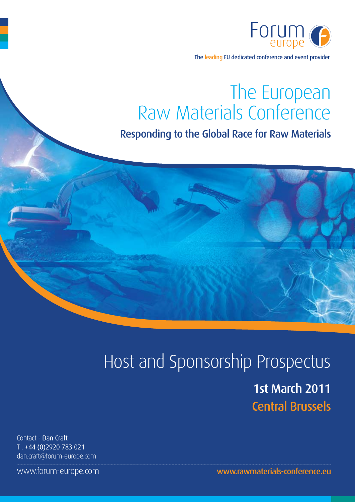

The leading EU dedicated conference and event provider

# The European<br>Raw Materials Conference

## Responding to the Global Race for Raw Materials

## Host and Sponsorship Prospectus

1st March 2011 **Central Brussels** 

Contact - Dan Craft T. +44 (0)2920 783 021 dan.craft@forum-europe.com

www.forum-europe.com

www.rawmaterials-conference.eu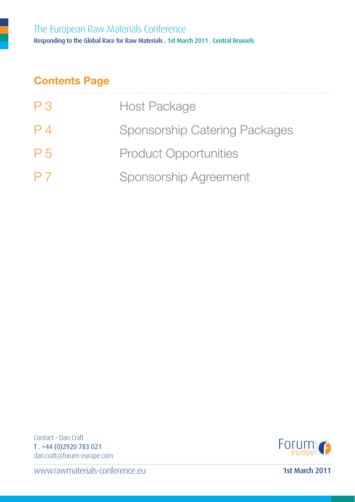## **Contents Page**

| P <sub>3</sub> | <b>Host Package</b>                  |
|----------------|--------------------------------------|
| $P_4$          | <b>Sponsorship Catering Packages</b> |
| P <sub>5</sub> | <b>Product Opportunities</b>         |
| P <sub>7</sub> | <b>Sponsorship Agreement</b>         |

Contact - Dan Craft T. +44 (0)2920 783 021 dan.craft@forum-europe.com



www.rawmaterials-conference.eu

1st March 2011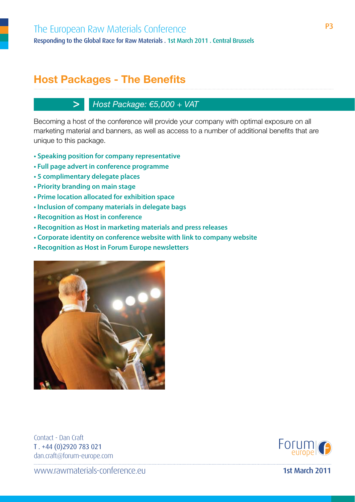## **Host Packages - The Benefits**

#### Host Package: €5,000 + VAT

Becoming a host of the conference will provide your company with optimal exposure on all marketing material and banners, as well as access to a number of additional benefits that are unique to this package.

- Speaking position for company representative
- Full page advert in conference programme
- 5 complimentary delegate places

 $>1$ 

- Priority branding on main stage
- Prime location allocated for exhibition space
- . Inclusion of company materials in delegate bags
- Recognition as Host in conference
- Recognition as Host in marketing materials and press releases
- Corporate identity on conference website with link to company website
- Recognition as Host in Forum Europe newsletters



Contact - Dan Craft T. +44 (0)2920 783 021 dan.craft@forum-europe.com



www.rawmaterials-conference.eu

1st March 2011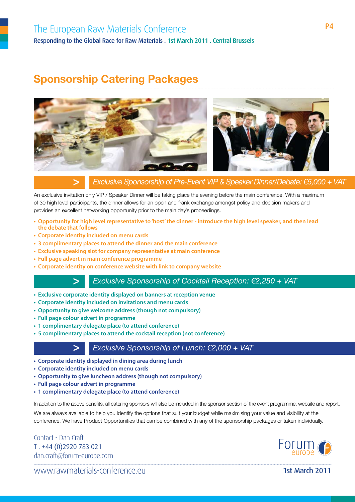## **Sponsorship Catering Packages**



#### **>** *Exclusive Sponsorship of Pre-Event VIP & Speaker Dinner/Debate: €5,000 + VAT*

An exclusive invitation only VIP / Speaker Dinner will be taking place the evening before the main conference. With a maximum of 30 high level participants, the dinner allows for an open and frank exchange amongst policy and decision makers and provides an excellent networking opportunity prior to the main day's proceedings.

- Opportunity for high level representative to 'host' the dinner introduce the high level speaker, and then lead the debate that follows
- **t** Corporate identity included on menu cards
- **3 complimentary places to attend the dinner and the main conference**
- **Exclusive speaking slot for company representative at main conference**
- **Full page advert in main conference programme**
- **Corporate identity on conference website with link to company website**



**>** *Exclusive Sponsorship of Cocktail Reception: €2,250 + VAT* 

- **Exclusive corporate identity displayed on banners at reception venue**
- **t** Corporate identity included on invitations and menu cards
- **Opportunity to give welcome address (though not compulsory)**
- **Full page colour advert in programme**
- **1 complimentary delegate place (to attend conference)**
- **5 complimentary places to attend the cocktail reception (not conference)**

#### **>** *Exclusive Sponsorship of Lunch: €2,000 + VAT*

- **t** Corporate identity displayed in dining area during lunch
- **t** Corporate identity included on menu cards
- **Opportunity to give luncheon address (though not compulsory)**
- **Full page colour advert in programme**
- **1 complimentary delegate place (to attend conference)**

In addition to the above benefits, all catering sponsors will also be included in the sponsor section of the event programme, website and report.

We are always available to help you identify the options that suit your budget while maximising your value and visibility at the conference. We have Product Opportunities that can be combined with any of the sponsorship packages or taken individually.

Contact - Dan Craft T. +44 (0)2920 783 021 dan.craft@forum-europe.com



ll www.rawmaterials-conference.eu and the state of the state of the state of the state of the state of the state of the state of the state of the state of the state of the state of the state of the state of the state of th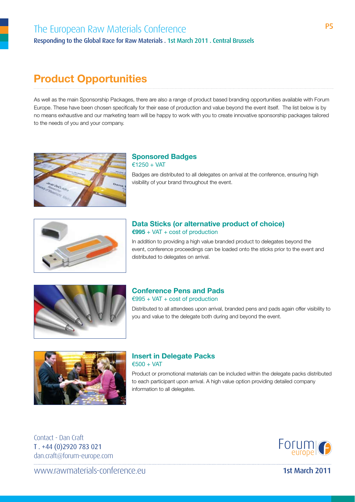## **Product Opportunities**

As well as the main Sponsorship Packages, there are also a range of product based branding opportunities available with Forum Europe. These have been chosen specifically for their ease of production and value beyond the event itself. The list below is by no means exhaustive and our marketing team will be happy to work with you to create innovative sponsorship packages tailored to the needs of you and your company.



#### **Sponsored Badges** €1250 + VAT

Badges are distributed to all delegates on arrival at the conference, ensuring high visibility of your brand throughout the event.



#### **Data Sticks (or alternative product of choice) €995** + VAT + cost of production

In addition to providing a high value branded product to delegates beyond the event, conference proceedings can be loaded onto the sticks prior to the event and distributed to delegates on arrival.



#### **Conference Pens and Pads**  $€995 + VAT + cost of production$

Distributed to all attendees upon arrival, branded pens and pads again offer visibility to you and value to the delegate both during and beyond the event.



#### **Insert in Delegate Packs**  $€500 + VAT$

Product or promotional materials can be included within the delegate packs distributed to each participant upon arrival. A high value option providing detailed company information to all delegates.

Contact - Dan Craft T. +44 (0)2920 783 021 dan.craft@forum-europe.com



ll www.rawmaterials-conference.eu and the content of the content of the case of the content of the content of the content of the content of the content of the content of the content of the content of the content of the con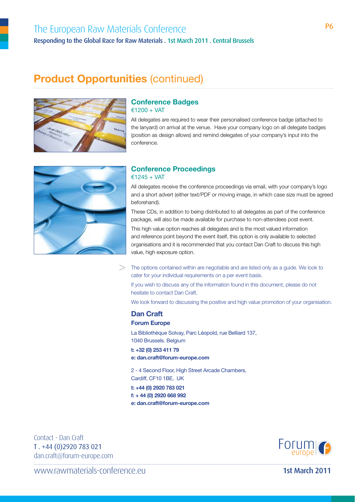### The European Raw Materials Conference The European Raw Materials Conference Responding to the Global Race for Raw Materials . 1st March 2011 . Central Brussels

## **Product Opportunities** (continued)



#### **Conference Badges** €1200 + VAT

All delegates are required to wear their personalised conference badge (attached to the lanyard) on arrival at the venue. Have your company logo on all delegate badges (position as design allows) and remind delegates of your company's input into the conference.



#### **Conference Proceedings** €1245 + VAT

All delegates receive the conference proceedings via email, with your company's logo and a short advert (either text/PDF or moving image, in which case size must be agreed beforehand).

These CDs, in addition to being distributed to all delegates as part of the conference package, will also be made available for purchase to non-attendees post event.

This high value option reaches all delegates and is the most valued information and reference point beyond the event itself, this option is only available to selected organisations and it is recommended that you contact Dan Craft to discuss this high value, high exposure option.

**>** The options contained within are negotiable and are listed only as a guide. We look to cater for your individual requirements on a per event basis.

If you wish to discuss any of the information found in this document, please do not hesitate to contact Dan Craft.

We look forward to discussing the positive and high value promotion of your organisation.

#### **Dan Craft**

**Forum Europe**

La Bibliothèque Solvay, Parc Léopold, rue Belliard 137, 1040 Brussels. Belgium

**t: +32 (0) 253 411 79**

#### **e: dan.craft@forum-europe.com**

2 - 4 Second Floor, High Street Arcade Chambers, Cardiff, CF10 1BE, UK

**t: +44 (0) 2920 783 021 f: + 44 (0) 2920 668 992 e: dan.craft@forum-europe.com**

Contact - Dan Craft T. +44 (0)2920 783 021 dan.craft@forum-europe.com



llawww.rawmaterials-conference.eu and the content of the content of the content of the content of the content of the content of the content of the content of the content of the content of the content of the content of the